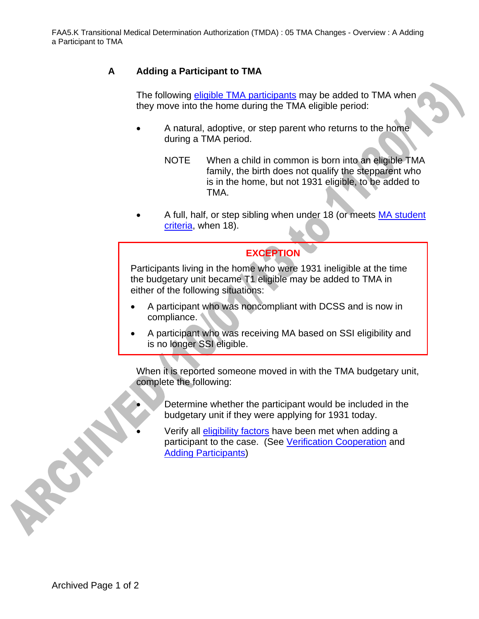## **A Adding a Participant to TMA**

The following eligible TMA participants may be added to TMA when they move into the home during the TMA eligible period:

- A natural, adoptive, or step parent who returns to the home during a TMA period.
	- NOTE When a child in common is born into an eligible TMA family, the birth does not qualify the stepparent who is in the home, but not 1931 eligible, to be added to TMA.
- A full, half, or step sibling when under 18 (or meets MA student criteria, when 18).

## **EXCEPTION**

Participants living in the home who were 1931 ineligible at the time the budgetary unit became T1 eligible may be added to TMA in either of the following situations:

- A participant who was noncompliant with DCSS and is now in compliance.
- A participant who was receiving MA based on SSI eligibility and is no longer SSI eligible.

When it is reported someone moved in with the TMA budgetary unit, complete the following:

- Determine whether the participant would be included in the budgetary unit if they were applying for 1931 today.
- Verify all eligibility factors have been met when adding a participant to the case. (See Verification Cooperation and Adding Participants)